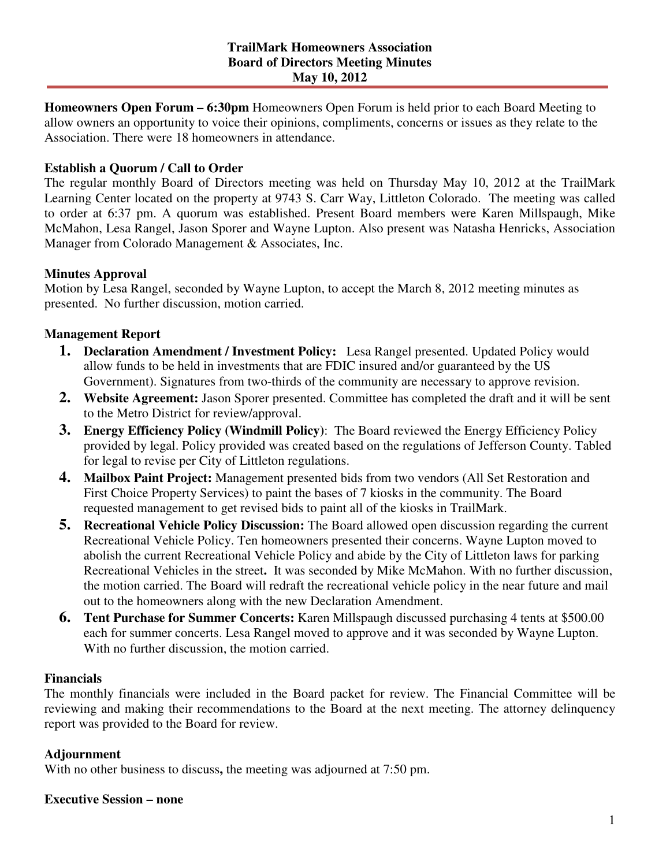**Homeowners Open Forum – 6:30pm** Homeowners Open Forum is held prior to each Board Meeting to allow owners an opportunity to voice their opinions, compliments, concerns or issues as they relate to the Association. There were 18 homeowners in attendance.

# **Establish a Quorum / Call to Order**

The regular monthly Board of Directors meeting was held on Thursday May 10, 2012 at the TrailMark Learning Center located on the property at 9743 S. Carr Way, Littleton Colorado. The meeting was called to order at 6:37 pm. A quorum was established. Present Board members were Karen Millspaugh, Mike McMahon, Lesa Rangel, Jason Sporer and Wayne Lupton. Also present was Natasha Henricks, Association Manager from Colorado Management & Associates, Inc.

### **Minutes Approval**

Motion by Lesa Rangel, seconded by Wayne Lupton, to accept the March 8, 2012 meeting minutes as presented. No further discussion, motion carried.

## **Management Report**

- **1. Declaration Amendment / Investment Policy:** Lesa Rangel presented. Updated Policy would allow funds to be held in investments that are FDIC insured and/or guaranteed by the US Government). Signatures from two-thirds of the community are necessary to approve revision.
- **2. Website Agreement:** Jason Sporer presented. Committee has completed the draft and it will be sent to the Metro District for review/approval.
- **3. Energy Efficiency Policy (Windmill Policy)**: The Board reviewed the Energy Efficiency Policy provided by legal. Policy provided was created based on the regulations of Jefferson County. Tabled for legal to revise per City of Littleton regulations.
- **4. Mailbox Paint Project:** Management presented bids from two vendors (All Set Restoration and First Choice Property Services) to paint the bases of 7 kiosks in the community. The Board requested management to get revised bids to paint all of the kiosks in TrailMark.
- **5. Recreational Vehicle Policy Discussion:** The Board allowed open discussion regarding the current Recreational Vehicle Policy. Ten homeowners presented their concerns. Wayne Lupton moved to abolish the current Recreational Vehicle Policy and abide by the City of Littleton laws for parking Recreational Vehicles in the street**.** It was seconded by Mike McMahon. With no further discussion, the motion carried. The Board will redraft the recreational vehicle policy in the near future and mail out to the homeowners along with the new Declaration Amendment.
- **6. Tent Purchase for Summer Concerts:** Karen Millspaugh discussed purchasing 4 tents at \$500.00 each for summer concerts. Lesa Rangel moved to approve and it was seconded by Wayne Lupton. With no further discussion, the motion carried.

### **Financials**

The monthly financials were included in the Board packet for review. The Financial Committee will be reviewing and making their recommendations to the Board at the next meeting. The attorney delinquency report was provided to the Board for review.

# **Adjournment**

With no other business to discuss**,** the meeting was adjourned at 7:50 pm.

### **Executive Session – none**